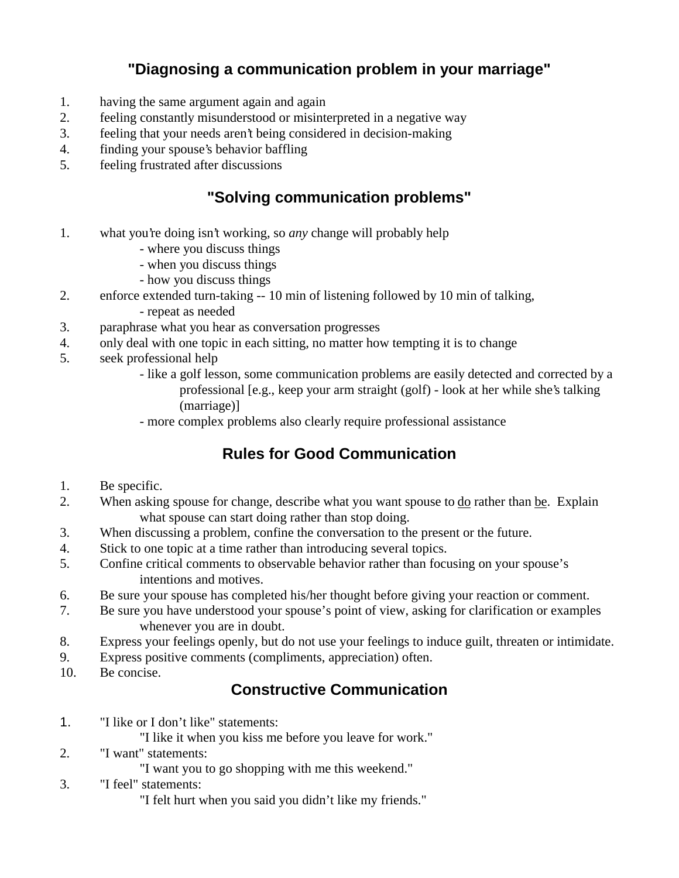## **"Diagnosing a communication problem in your marriage"**

- 1. having the same argument again and again
- 2. feeling constantly misunderstood or misinterpreted in a negative way
- 3. feeling that your needs aren't being considered in decision-making
- 4. finding your spouse's behavior baffling
- 5. feeling frustrated after discussions

#### **"Solving communication problems"**

- 1. what you're doing isn't working, so *any* change will probably help
	- where you discuss things
	- when you discuss things
	- how you discuss things
- 2. enforce extended turn-taking -- 10 min of listening followed by 10 min of talking,
	- repeat as needed
- 3. paraphrase what you hear as conversation progresses
- 4. only deal with one topic in each sitting, no matter how tempting it is to change
- 5. seek professional help
	- like a golf lesson, some communication problems are easily detected and corrected by a professional [e.g., keep your arm straight (golf) - look at her while she's talking (marriage)]
	- more complex problems also clearly require professional assistance

## **Rules for Good Communication**

- 1. Be specific.
- 2. When asking spouse for change, describe what you want spouse to do rather than be. Explain what spouse can start doing rather than stop doing.
- 3. When discussing a problem, confine the conversation to the present or the future.
- 4. Stick to one topic at a time rather than introducing several topics.
- 5. Confine critical comments to observable behavior rather than focusing on your spouse's intentions and motives.
- 6. Be sure your spouse has completed his/her thought before giving your reaction or comment.
- 7. Be sure you have understood your spouse's point of view, asking for clarification or examples whenever you are in doubt.
- 8. Express your feelings openly, but do not use your feelings to induce guilt, threaten or intimidate.
- 9. Express positive comments (compliments, appreciation) often.
- 10. Be concise.

#### **Constructive Communication**

- 1. "I like or I don't like" statements:
	- "I like it when you kiss me before you leave for work."
- 2. "I want" statements:
	- "I want you to go shopping with me this weekend."
- 3. "I feel" statements:
	- "I felt hurt when you said you didn't like my friends."